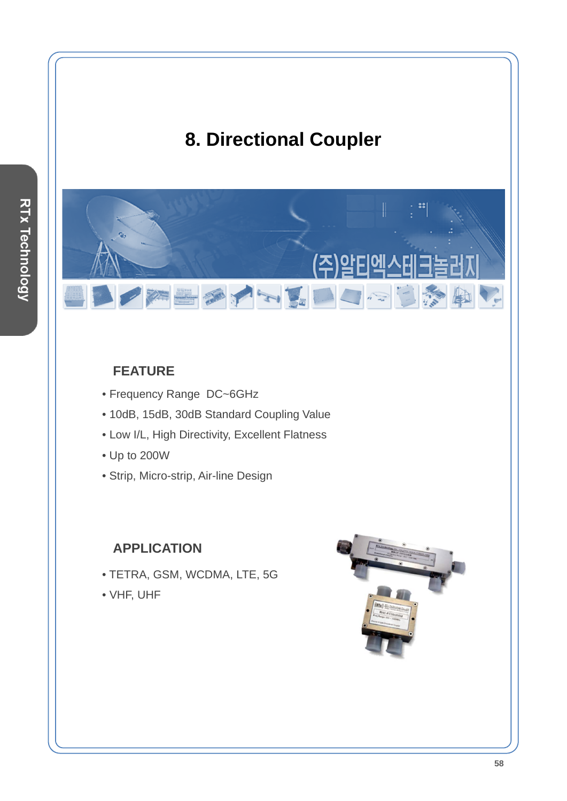# **8. Directional Coupler**

西方的星

### **FEATURE**

- Frequency Range DC~6GHz
- 10dB, 15dB, 30dB Standard Coupling Value
- Low I/L, High Directivity, Excellent Flatness
- Up to 200W
- Strip, Micro-strip, Air-line Design

### **APPLICATION**

- TETRA, GSM, WCDMA, LTE, 5G
- VHF, UHF



F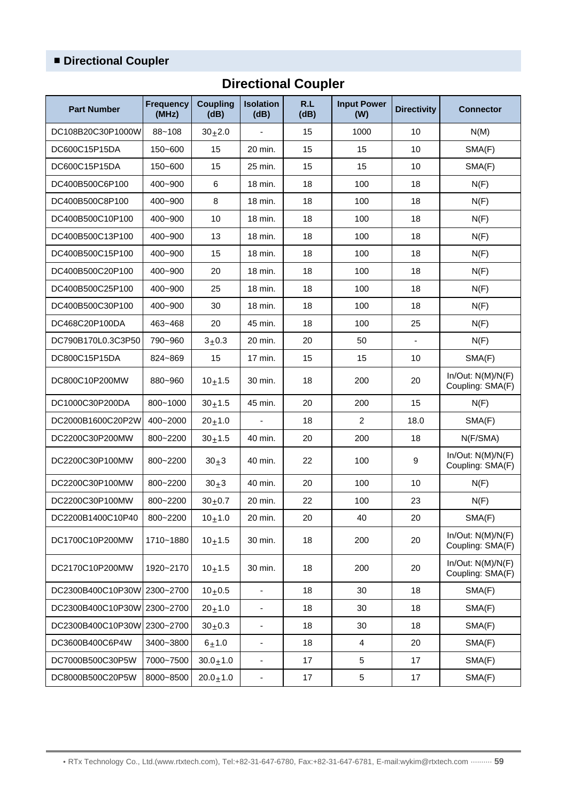## ■ **Directional Coupler**

| <b>Part Number</b>          | <b>Frequency</b><br>(MHz) | <b>Coupling</b><br>(dB) | <b>Isolation</b><br>(dB) | R.L<br>(dB) | <b>Input Power</b><br>(W) | <b>Directivity</b>       | <b>Connector</b>                      |
|-----------------------------|---------------------------|-------------------------|--------------------------|-------------|---------------------------|--------------------------|---------------------------------------|
| DC108B20C30P1000W           | $88 - 108$                | $30+2.0$                | $\blacksquare$           | 15          | 1000                      | 10                       | N(M)                                  |
| DC600C15P15DA               | 150~600                   | 15                      | 20 min.                  | 15          | 15                        | 10                       | SMA(F)                                |
| DC600C15P15DA               | 150~600                   | 15                      | 25 min.                  | 15          | 15                        | 10                       | SMA(F)                                |
| DC400B500C6P100             | 400~900                   | 6                       | 18 min.                  | 18          | 100                       | 18                       | N(F)                                  |
| DC400B500C8P100             | 400~900                   | 8                       | 18 min.                  | 18          | 100                       | 18                       | N(F)                                  |
| DC400B500C10P100            | 400~900                   | 10                      | 18 min.                  | 18          | 100                       | 18                       | N(F)                                  |
| DC400B500C13P100            | 400~900                   | 13                      | 18 min.                  | 18          | 100                       | 18                       | N(F)                                  |
| DC400B500C15P100            | 400~900                   | 15                      | 18 min.                  | 18          | 100                       | 18                       | N(F)                                  |
| DC400B500C20P100            | 400~900                   | 20                      | 18 min.                  | 18          | 100                       | 18                       | N(F)                                  |
| DC400B500C25P100            | 400~900                   | 25                      | 18 min.                  | 18          | 100                       | 18                       | N(F)                                  |
| DC400B500C30P100            | 400~900                   | 30                      | 18 min.                  | 18          | 100                       | 18                       | N(F)                                  |
| DC468C20P100DA              | 463~468                   | 20                      | 45 min.                  | 18          | 100                       | 25                       | N(F)                                  |
| DC790B170L0.3C3P50          | 790~960                   | $3 + 0.3$               | 20 min.                  | 20          | 50                        | $\overline{\phantom{a}}$ | N(F)                                  |
| DC800C15P15DA               | 824~869                   | 15                      | 17 min.                  | 15          | 15                        | 10                       | SMA(F)                                |
| DC800C10P200MW              | 880~960                   | $10+1.5$                | 30 min.                  | 18          | 200                       | 20                       | In/Out: N(M)/N(F)<br>Coupling: SMA(F) |
| DC1000C30P200DA             | 800~1000                  | $30 + 1.5$              | 45 min.                  | 20          | 200                       | 15                       | N(F)                                  |
| DC2000B1600C20P2W           | 400~2000                  | $20 + 1.0$              |                          | 18          | $\overline{2}$            | 18.0                     | SMA(F)                                |
| DC2200C30P200MW             | 800~2200                  | $30 + 1.5$              | 40 min.                  | 20          | 200                       | 18                       | N(F/SMA)                              |
| DC2200C30P100MW             | 800~2200                  | $30+3$                  | 40 min.                  | 22          | 100                       | 9                        | In/Out: N(M)/N(F)<br>Coupling: SMA(F) |
| DC2200C30P100MW             | 800~2200                  | $30+3$                  | 40 min.                  | 20          | 100                       | 10                       | N(F)                                  |
| DC2200C30P100MW             | 800~2200                  | $30 + 0.7$              | 20 min.                  | 22          | 100                       | 23                       | N(F)                                  |
| DC2200B1400C10P40           | 800~2200                  | $10+1.0$                | 20 min.                  | 20          | 40                        | 20                       | SMA(F)                                |
| DC1700C10P200MW             | 1710~1880                 | $10+1.5$                | 30 min.                  | 18          | 200                       | 20                       | In/Out: N(M)/N(F)<br>Coupling: SMA(F) |
| DC2170C10P200MW             | 1920~2170                 | $10+1.5$                | 30 min.                  | 18          | 200                       | 20                       | In/Out: N(M)/N(F)<br>Coupling: SMA(F) |
| DC2300B400C10P30W 2300~2700 |                           | $10+0.5$                | $\overline{\phantom{a}}$ | 18          | 30                        | 18                       | SMA(F)                                |
| DC2300B400C10P30W 2300~2700 |                           | $20 + 1.0$              | $\overline{\phantom{0}}$ | 18          | 30                        | 18                       | SMA(F)                                |
| DC2300B400C10P30W 2300~2700 |                           | $30+0.3$                | $\overline{\phantom{0}}$ | 18          | 30                        | 18                       | SMA(F)                                |
| DC3600B400C6P4W             | 3400~3800                 | $6 + 1.0$               | $\overline{\phantom{0}}$ | 18          | 4                         | 20                       | SMA(F)                                |
| DC7000B500C30P5W            | 7000~7500                 | $30.0 + 1.0$            | $\overline{\phantom{m}}$ | 17          | 5                         | 17                       | SMA(F)                                |
| DC8000B500C20P5W            | 8000~8500                 | $20.0 + 1.0$            | ۰                        | 17          | 5                         | 17                       | SMA(F)                                |